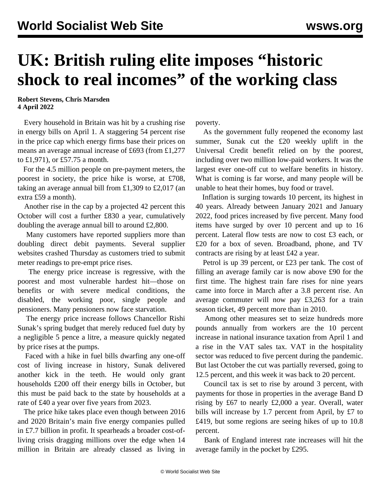## **UK: British ruling elite imposes "historic shock to real incomes" of the working class**

**Robert Stevens, Chris Marsden 4 April 2022**

 Every household in Britain was hit by a crushing rise in energy bills on April 1. A staggering 54 percent rise in the price cap which energy firms base their prices on means an average annual increase of £693 (from £1,277 to £1,971), or £57.75 a month.

 For the 4.5 million people on pre-payment meters, the poorest in society, the price hike is worse, at £708, taking an average annual bill from £1,309 to £2,017 (an extra £59 a month).

 Another rise in the cap by a projected 42 percent this October will cost a further £830 a year, cumulatively doubling the average annual bill to around £2,800.

 Many customers have reported suppliers more than doubling direct debit payments. Several supplier websites crashed Thursday as customers tried to submit meter readings to pre-empt price rises.

 The energy price increase is regressive, with the poorest and most vulnerable hardest hit—those on benefits or with severe medical conditions, the disabled, the working poor, single people and pensioners. Many pensioners now face starvation.

 The energy price increase follows Chancellor Rishi Sunak's spring budget that merely reduced fuel duty by a negligible 5 pence a litre, a measure quickly negated by price rises at the pumps.

 Faced with a hike in fuel bills dwarfing any one-off cost of living increase in history, Sunak delivered another kick in the teeth. He would only grant households £200 off their energy bills in October, but this must be paid back to the state by households at a rate of £40 a year over five years from 2023.

 The price hike takes place even though between 2016 and 2020 Britain's main five energy companies pulled in £7.7 billion in profit. It spearheads a broader cost-ofliving crisis dragging millions over the edge when 14 million in Britain are already classed as living in poverty.

 As the government fully reopened the economy last summer, Sunak cut the £20 weekly uplift in the Universal Credit benefit relied on by the poorest, including over two million low-paid workers. It was the largest ever one-off cut to welfare benefits in history. What is coming is far worse, and many people will be unable to heat their homes, buy food or travel.

 Inflation is surging towards 10 percent, its highest in 40 years. Already between January 2021 and January 2022, food prices increased by five percent. Many food items have surged by over 10 percent and up to 16 percent. Lateral flow tests are now to cost £3 each, or £20 for a box of seven. Broadband, phone, and TV contracts are rising by at least £42 a year.

 Petrol is up 39 percent, or £23 per tank. The cost of filling an average family car is now above £90 for the first time. The highest train fare rises for nine years came into force in March after a 3.8 percent rise. An average commuter will now pay £3,263 for a train season ticket, 49 percent more than in 2010.

 Among other measures set to seize hundreds more pounds annually from workers are the 10 percent increase in national insurance taxation from April 1 and a rise in the VAT sales tax. VAT in the hospitality sector was reduced to five percent during the pandemic. But last October the cut was partially reversed, going to 12.5 percent, and this week it was back to 20 percent.

 Council tax is set to rise by around 3 percent, with payments for those in properties in the average Band D rising by £67 to nearly £2,000 a year. Overall, water bills will increase by 1.7 percent from April, by £7 to £419, but some regions are seeing hikes of up to 10.8 percent.

 Bank of England interest rate increases will hit the average family in the pocket by £295.